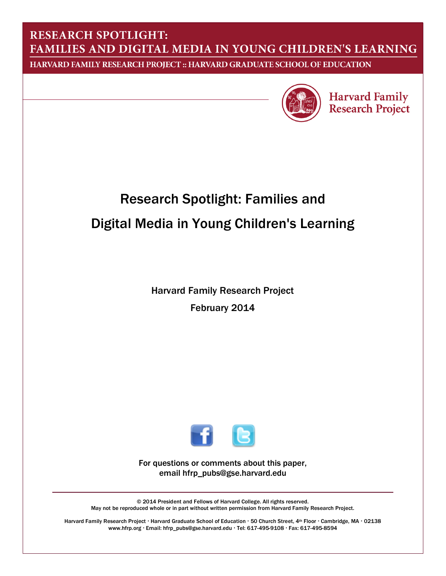# **RESEARCH SPOTLIGHT:** FAMILIES AND DIGITAL MEDIA IN YOUNG CHILDREN'S LEARNING

HARVARD FAMILY RESEARCH PROJECT :: HARVARD GRADUATE SCHOOL OF EDUCATION



**Harvard Family Research Project** 

# Research Spotlight: Families and Digital Media in Young Children's Learning

Harvard Family Research Project February 2014



For questions or comments about this paper, email hfrp\_pubs@gse.harvard.edu

© 2014 President and Fellows of Harvard College. All rights reserved. May not be reproduced whole or in part without written permission from Harvard Family Research Project.

Harvard Family Research Project · Harvard Graduate School of Education · 50 Church Street, 4th Floor · Cambridge, MA · 02138 www.hfrp.org · Email: hfrp\_pubs@gse.harvard.edu · Tel: 617-495-9108 · Fax: 617-495-8594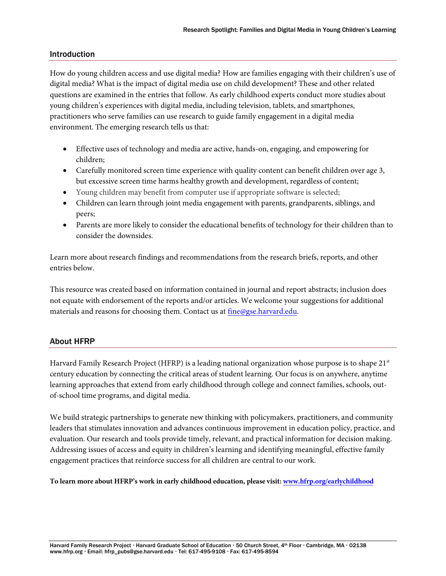#### **Introduction**

How do young children access and use digital media? How are families engaging with their children's use of digital media? What is the impact of digital media use on child development? These and other related questions are examined in the entries that follow. As early childhood experts conduct more studies about young children's experiences with digital media, including television, tablets, and smartphones, practitioners who serve families can use research to guide family engagement in a digital media environment. The emerging research tells us that:

- Effective uses of technology and media are active, hands-on, engaging, and empowering for children;
- Carefully monitored screen time experience with quality content can benefit children over age 3, but excessive screen time harms healthy growth and development, regardless of content;
- Young children may benefit from computer use if appropriate software is selected;
- Children can learn through joint media engagement with parents, grandparents, siblings, and peers;
- Parents are more likely to consider the educational benefits of technology for their children than to consider the downsides.

Learn more about research findings and recommendations from the research briefs, reports, and other entries below.

This resource was created based on information contained in journal and report abstracts; inclusion does not equate with endorsement of the reports and/or articles. We welcome your suggestions for additional materials and reasons for choosing them. Contact us at [fine@gse.harvard.edu.](mailto:fine@gse.harvard.edu)

#### About HFRP

Harvard Family Research Project (HFRP) is a leading national organization whose purpose is to shape 21<sup>st</sup> century education by connecting the critical areas of student learning. Our focus is on anywhere, anytime learning approaches that extend from early childhood through college and connect families, schools, outof-school time programs, and digital media.

We build strategic partnerships to generate new thinking with policymakers, practitioners, and community leaders that stimulates innovation and advances continuous improvement in education policy, practice, and evaluation. Our research and tools provide timely, relevant, and practical information for decision making. Addressing issues of access and equity in children's learning and identifying meaningful, effective family engagement practices that reinforce success for all children are central to our work.

**To learn more about HFRP's work in early childhood education, please visit[: www.hfrp.org/earlychildhood](http://ow.ly/tynNp)**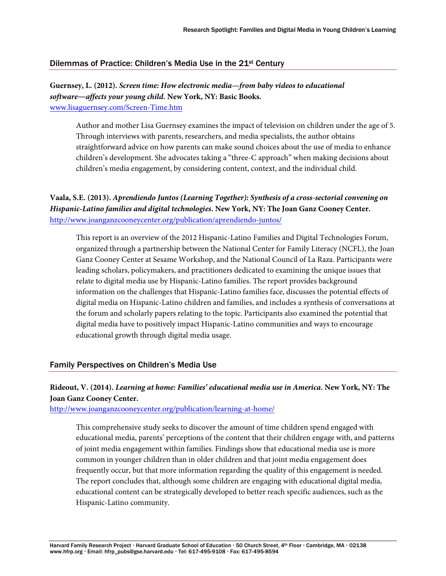#### Dilemmas of Practice: Children's Media Use in the 21st Century

# **Guernsey, L. (2012).** *Screen time: How electronic media—from baby videos to educational software―affects your young child.* **New York, NY: Basic Books.**

[www.lisaguernsey.com/Screen-Time.htm](http://ow.ly/tycrj)

Author and mother Lisa Guernsey examines the impact of television on children under the age of 5. Through interviews with parents, researchers, and media specialists, the author obtains straightforward advice on how parents can make sound choices about the use of media to enhance children's development. She advocates taking a "three-C approach" when making decisions about children's media engagement, by considering content, context, and the individual child.

**Vaala, S.E. (2013).** *Aprendiendo Juntos (Learning Together): Synthesis of a cross-sectorial convening on Hispanic-Latino families and digital technologies***. New York, NY: The Joan Ganz Cooney Center.**  [http://www.joanganzcooneycenter.org/publication/aprendiendo-juntos/](http://ow.ly/typek)

This report is an overview of the 2012 Hispanic-Latino Families and Digital Technologies Forum, organized through a partnership between the National Center for Family Literacy (NCFL), the Joan Ganz Cooney Center at Sesame Workshop, and the National Council of La Raza. Participants were leading scholars, policymakers, and practitioners dedicated to examining the unique issues that relate to digital media use by Hispanic-Latino families. The report provides background information on the challenges that Hispanic-Latino families face, discusses the potential effects of digital media on Hispanic-Latino children and families, and includes a synthesis of conversations at the forum and scholarly papers relating to the topic. Participants also examined the potential that digital media have to positively impact Hispanic-Latino communities and ways to encourage educational growth through digital media usage.

#### Family Perspectives on Children's Media Use

#### **Rideout, V. (2014).** *Learning at home: Families' educational media use in America.* **New York, NY: The Joan Ganz Cooney Center.**

[http://www.joanganzcooneycenter.org/publication/learning-at-home/](http://ow.ly/tyuaO)

This comprehensive study seeks to discover the amount of time children spend engaged with educational media, parents' perceptions of the content that their children engage with, and patterns of joint media engagement within families. Findings show that educational media use is more common in younger children than in older children and that joint media engagement does frequently occur, but that more information regarding the quality of this engagement is needed. The report concludes that, although some children are engaging with educational digital media, educational content can be strategically developed to better reach specific audiences, such as the Hispanic-Latino community.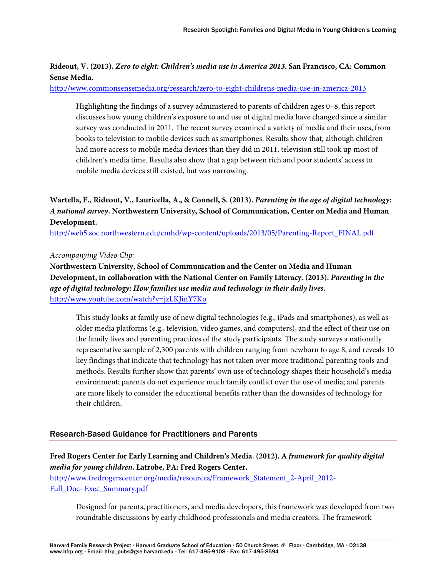# **Rideout, V. (2013).** *Zero to eight: Children's media use in America 2013***. San Francisco, CA: Common Sense Media.**

[http://www.commonsensemedia.org/research/zero-to-eight-childrens-media-use-in-america-2013](http://ow.ly/tyuQ3)

Highlighting the findings of a survey administered to parents of children ages 0–8, this report discusses how young children's exposure to and use of digital media have changed since a similar survey was conducted in 2011. The recent survey examined a variety of media and their uses, from books to television to mobile devices such as smartphones. Results show that, although children had more access to mobile media devices than they did in 2011, television still took up most of children's media time. Results also show that a gap between rich and poor students' access to mobile media devices still existed, but was narrowing.

# **Wartella, E., Rideout, V., Lauricella, A., & Connell, S. (2013).** *Parenting in the age of digital technology: A national survey***. Northwestern University, School of Communication, Center on Media and Human Development.**

[http://web5.soc.northwestern.edu/cmhd/wp-content/uploads/2013/05/Parenting-Report\\_FINAL.pdf](http://ow.ly/tyvpU) 

*Accompanying Video Clip:*

**Northwestern University, School of Communication and the Center on Media and Human Development, in collaboration with the National Center on Family Literacy. (2013).** *Parenting in the age of digital technology: How families use media and technology in their daily lives.* [http://www.youtube.com/watch?v=jzLKJinY7Ko](http://ow.ly/tyw88) 

This study looks at family use of new digital technologies (e.g., iPads and smartphones), as well as older media platforms (e.g., television, video games, and computers), and the effect of their use on the family lives and parenting practices of the study participants. The study surveys a nationally representative sample of 2,300 parents with children ranging from newborn to age 8, and reveals 10 key findings that indicate that technology has not taken over more traditional parenting tools and methods. Results further show that parents' own use of technology shapes their household's media environment; parents do not experience much family conflict over the use of media; and parents are more likely to consider the educational benefits rather than the downsides of technology for their children.

#### Research-Based Guidance for Practitioners and Parents

**Fred Rogers Center for Early Learning and Children's Media. (2012). A** *framework for quality digital media for young children.* **Latrobe, PA: Fred Rogers Center.**  [http://www.fredrogerscenter.org/media/resources/Framework\\_Statement\\_2-April\\_2012-](http://ow.ly/tyxm3) [Full\\_Doc+Exec\\_Summary.pdf](http://ow.ly/tyxm3)

Designed for parents, practitioners, and media developers, this framework was developed from two roundtable discussions by early childhood professionals and media creators. The framework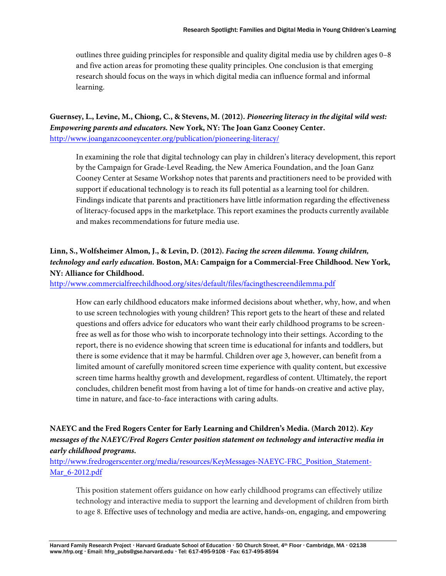outlines three guiding principles for responsible and quality digital media use by children ages 0–8 and five action areas for promoting these quality principles. One conclusion is that emerging research should focus on the ways in which digital media can influence formal and informal learning.

# **Guernsey, L., Levine, M., Chiong, C., & Stevens, M. (2012).** *Pioneering literacy in the digital wild west: Empowering parents and educators.* **New York, NY: The Joan Ganz Cooney Center.**  [http://www.joanganzcooneycenter.org/publication/pioneering-literacy/](http://ow.ly/tyxY1)

In examining the role that digital technology can play in children's literacy development, this report by the Campaign for Grade-Level Reading, the New America Foundation, and the Joan Ganz Cooney Center at Sesame Workshop notes that parents and practitioners need to be provided with support if educational technology is to reach its full potential as a learning tool for children. Findings indicate that parents and practitioners have little information regarding the effectiveness of literacy-focused apps in the marketplace. This report examines the products currently available and makes recommendations for future media use.

# **Linn, S., Wolfsheimer Almon, J., & Levin, D. (2012).** *Facing the screen dilemma. Young children, technology and early education.* **Boston, MA: Campaign for a Commercial-Free Childhood. New York, NY: Alliance for Childhood.**

[http://www.commercialfreechildhood.org/sites/default/files/facingthescreendilemma.pdf](http://ow.ly/tyyem) 

How can early childhood educators make informed decisions about whether, why, how, and when to use screen technologies with young children? This report gets to the heart of these and related questions and offers advice for educators who want their early childhood programs to be screenfree as well as for those who wish to incorporate technology into their settings. According to the report, there is no evidence showing that screen time is educational for infants and toddlers, but there is some evidence that it may be harmful. Children over age 3, however, can benefit from a limited amount of carefully monitored screen time experience with quality content, but excessive screen time harms healthy growth and development, regardless of content. Ultimately, the report concludes, children benefit most from having a lot of time for hands-on creative and active play, time in nature, and face-to-face interactions with caring adults.

# **NAEYC and the Fred Rogers Center for Early Learning and Children's Media. (March 2012).** *Key messages of the NAEYC/Fred Rogers Center position statement on technology and interactive media in early childhood programs***.**

[http://www.fredrogerscenter.org/media/resources/KeyMessages-NAEYC-FRC\\_Position\\_Statement-](http://ow.ly/tyyrN)[Mar\\_6-2012.pdf](http://ow.ly/tyyrN)

This position statement offers guidance on how early childhood programs can effectively utilize technology and interactive media to support the learning and development of children from birth to age 8. Effective uses of technology and media are active, hands-on, engaging, and empowering